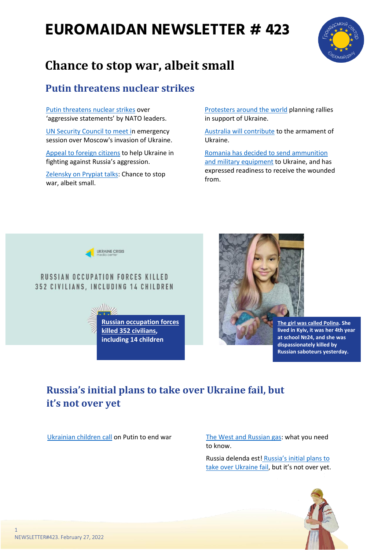# **EUROMAIDAN NEWSLETTER # 423**



# **Chance to stop war, albeit small**

## **Putin threatens nuclear strikes**

[Putin threatens nuclear strikes](https://www.ukrinform.net/rubric-ato/3414871-putin-threatens-nuclear-strikes-over-aggressive-statements-by-nato-leaders.html) over 'aggressive statements' by NATO leaders.

[UN Security Council to meet in](https://www.rferl.org/a/united-nations-russia-ukraine-security-council/31726020.html) emergency session over Moscow's invasion of Ukraine.

[Appeal to foreign citizens](https://uacrisis.org/en/appeal-to-foreign-citizens-to-help-ukraine-in-fighting-against-russia-s-aggression) to help Ukraine in fighting against Russia's aggression.

[Zelensky on Prypiat talks:](https://www.ukrinform.net/rubric-ato/3415020-zelensky-on-prypiat-talks-chance-to-stop-war-albeit-small.html) Chance to stop war, albeit small.

[Protesters around the world](https://kyivindependent.com/national/protesters-around-the-world-planning-rallies-in-support-of-ukraine-updating/) planning rallies in support of Ukraine.

[Australia will contribute](https://www.facebook.com/GeneralStaff.ua/posts/260627959583623) to the armament of Ukraine.

[Romania has decided to send ammunition](https://www.facebook.com/GeneralStaff.ua/posts/260579752921777)  [and military equipment](https://www.facebook.com/GeneralStaff.ua/posts/260579752921777) to Ukraine, and has expressed readiness to receive the wounded from.



#### **RUSSIAN OCCUPATION FORCES KILLED 352 CIVILIANS, INCLUDING 14 CHILDREN**





**[The girl was called Polina.](https://www.facebook.com/lypovyk/posts/10223673892609921) She lived in Kyiv, it was her 4th year at school №24, and she was dispassionately killed by Russian saboteurs yesterday.**

# **Russia's initial plans to take over Ukraine fail, but it's not over yet**

[Ukrainian children call](https://www.ukrinform.net/rubric-ato/3414691-ukrainian-children-call-on-putin-to-end-war.html) on Putin to end war [The West and Russian gas:](https://www.rferl.org/a/russia-natural-gas-european-union-ukraine-nord-stream/31723456.html) what you need to know.

> Russia delenda est! [Russia's initial plans to](https://euromaidanpress.com/2022/02/27/russia-delenda-est-russias-initial-plans-to-take-over-ukraine-fail-but-its-not-over-yet/)  [take over Ukraine fail](https://euromaidanpress.com/2022/02/27/russia-delenda-est-russias-initial-plans-to-take-over-ukraine-fail-but-its-not-over-yet/), but it's not over yet.